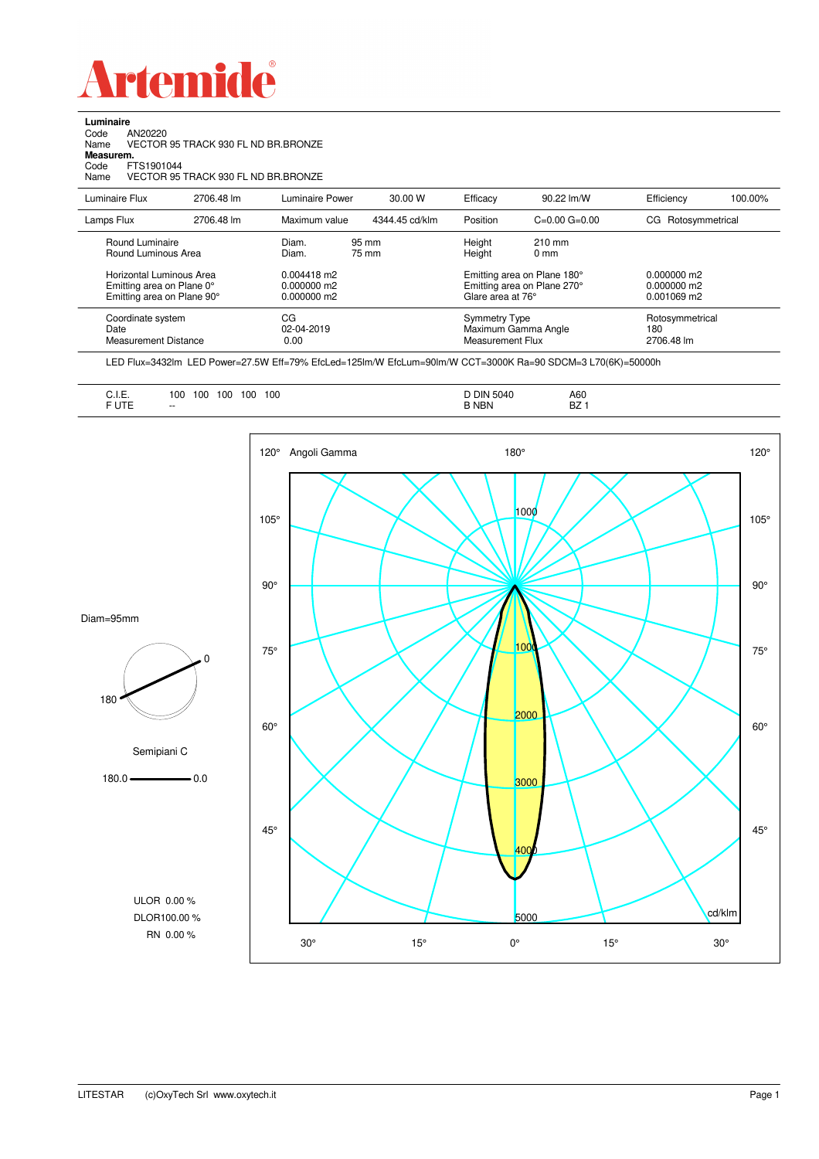

**Luminaire**<br>Code /<br>Name \ Code AN20220 Name VECTOR 95 TRACK 930 FL ND BR.BRONZE

**Measurem.**

Code FTS1901044

| code<br>FIS1901044<br>Name                                                          | VECTOR 95 TRACK 930 FL ND BR.BRONZE |                                               |                |                                                          |                                                            |                                               |         |
|-------------------------------------------------------------------------------------|-------------------------------------|-----------------------------------------------|----------------|----------------------------------------------------------|------------------------------------------------------------|-----------------------------------------------|---------|
| Luminaire Flux                                                                      | 2706.48 lm                          | Luminaire Power                               | 30.00 W        | Efficacv                                                 | 90.22 lm/W                                                 | Efficiency                                    | 100.00% |
| Lamps Flux                                                                          | 2706.48 lm                          | Maximum value                                 | 4344.45 cd/klm | Position                                                 | $C=0.00$ $G=0.00$                                          | CG Rotosymmetrical                            |         |
| Round Luminaire<br>Round Luminous Area                                              |                                     | Diam.<br>Diam.                                | 95 mm<br>75 mm | Height<br>Height                                         | $210 \text{ mm}$<br>0 <sub>mm</sub>                        |                                               |         |
| Horizontal Luminous Area<br>Emitting area on Plane 0°<br>Emitting area on Plane 90° |                                     | $0.004418$ m2<br>0.000000 m2<br>$0.000000$ m2 |                | Glare area at 76°                                        | Emitting area on Plane 180°<br>Emitting area on Plane 270° | $0.000000$ m2<br>0.000000 m2<br>$0.001069$ m2 |         |
| Coordinate system<br>Date<br><b>Measurement Distance</b>                            |                                     | СG<br>02-04-2019<br>0.00                      |                | Symmetry Type<br>Maximum Gamma Angle<br>Measurement Flux |                                                            | Rotosymmetrical<br>180<br>2706.48 lm          |         |

LED Flux=3432lm LED Power=27.5W Eff=79% EfcLed=125lm/W EfcLum=90lm/W CCT=3000K Ra=90 SDCM=3 L70(6K)=50000h

| $\sim$ . $\sim$<br>∪. I.⊏.<br>----<br>. U I<br>. | 100<br>100<br>100<br>100<br>100<br>- -<br>__<br>$- -$ | ٦IN<br>504<br>.<br>NBN | A60<br>BZ |
|--------------------------------------------------|-------------------------------------------------------|------------------------|-----------|